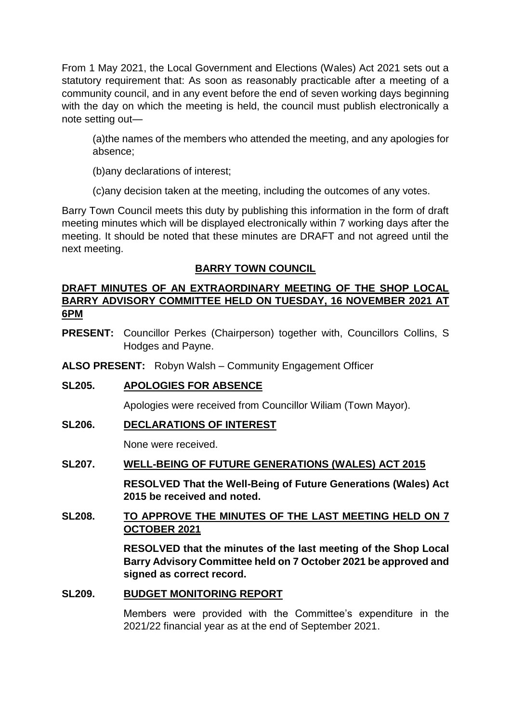From 1 May 2021, the Local Government and Elections (Wales) Act 2021 sets out a statutory requirement that: As soon as reasonably practicable after a meeting of a community council, and in any event before the end of seven working days beginning with the day on which the meeting is held, the council must publish electronically a note setting out—

(a)the names of the members who attended the meeting, and any apologies for absence;

(b)any declarations of interest;

(c)any decision taken at the meeting, including the outcomes of any votes.

Barry Town Council meets this duty by publishing this information in the form of draft meeting minutes which will be displayed electronically within 7 working days after the meeting. It should be noted that these minutes are DRAFT and not agreed until the next meeting.

## **BARRY TOWN COUNCIL**

## **DRAFT MINUTES OF AN EXTRAORDINARY MEETING OF THE SHOP LOCAL BARRY ADVISORY COMMITTEE HELD ON TUESDAY, 16 NOVEMBER 2021 AT 6PM**

**PRESENT:** Councillor Perkes (Chairperson) together with, Councillors Collins, S Hodges and Payne.

**ALSO PRESENT:** Robyn Walsh – Community Engagement Officer

# **SL205. APOLOGIES FOR ABSENCE**

Apologies were received from Councillor Wiliam (Town Mayor).

## **SL206. DECLARATIONS OF INTEREST**

None were received.

## **SL207. WELL-BEING OF FUTURE GENERATIONS (WALES) ACT 2015**

**RESOLVED That the Well-Being of Future Generations (Wales) Act 2015 be received and noted.** 

## **SL208. TO APPROVE THE MINUTES OF THE LAST MEETING HELD ON 7 OCTOBER 2021**

**RESOLVED that the minutes of the last meeting of the Shop Local Barry Advisory Committee held on 7 October 2021 be approved and signed as correct record.** 

## **SL209. BUDGET MONITORING REPORT**

Members were provided with the Committee's expenditure in the 2021/22 financial year as at the end of September 2021.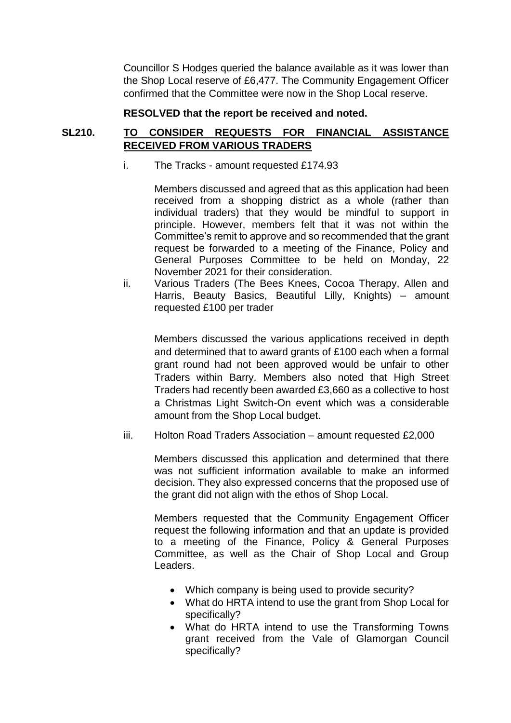Councillor S Hodges queried the balance available as it was lower than the Shop Local reserve of £6,477. The Community Engagement Officer confirmed that the Committee were now in the Shop Local reserve.

#### **RESOLVED that the report be received and noted.**

## **SL210. TO CONSIDER REQUESTS FOR FINANCIAL ASSISTANCE RECEIVED FROM VARIOUS TRADERS**

i. The Tracks - amount requested £174.93

Members discussed and agreed that as this application had been received from a shopping district as a whole (rather than individual traders) that they would be mindful to support in principle. However, members felt that it was not within the Committee's remit to approve and so recommended that the grant request be forwarded to a meeting of the Finance, Policy and General Purposes Committee to be held on Monday, 22 November 2021 for their consideration.

ii. Various Traders (The Bees Knees, Cocoa Therapy, Allen and Harris, Beauty Basics, Beautiful Lilly, Knights) – amount requested £100 per trader

Members discussed the various applications received in depth and determined that to award grants of £100 each when a formal grant round had not been approved would be unfair to other Traders within Barry. Members also noted that High Street Traders had recently been awarded £3,660 as a collective to host a Christmas Light Switch-On event which was a considerable amount from the Shop Local budget.

iii. Holton Road Traders Association – amount requested £2,000

Members discussed this application and determined that there was not sufficient information available to make an informed decision. They also expressed concerns that the proposed use of the grant did not align with the ethos of Shop Local.

Members requested that the Community Engagement Officer request the following information and that an update is provided to a meeting of the Finance, Policy & General Purposes Committee, as well as the Chair of Shop Local and Group Leaders.

- Which company is being used to provide security?
- What do HRTA intend to use the grant from Shop Local for specifically?
- What do HRTA intend to use the Transforming Towns grant received from the Vale of Glamorgan Council specifically?